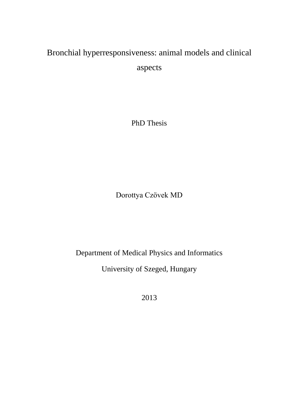# Bronchial hyperresponsiveness: animal models and clinical aspects

PhD Thesis

Dorottya Czövek MD

Department of Medical Physics and Informatics

University of Szeged, Hungary

2013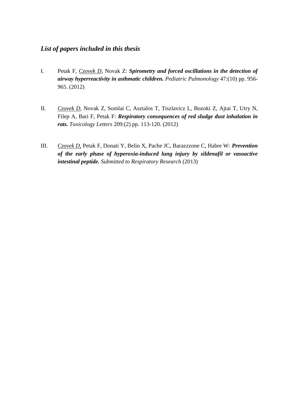# *List of papers included in this thesis*

- I. Petak F, *Czovek D*, Novak Z: *Spirometry and forced oscillations in the detection of airway hyperreactivity in asthmatic children. Pediatric Pulmonology* 47:(10) pp. 956- 965. (2012)
- II. *Czovek D*, Novak Z, Somlai C, Asztalos T, Tiszlavicz L, Bozoki Z, Ajtai T, Utry N, Filep A, Bari F, Petak F: *Respiratory consequences of red sludge dust inhalation in rats. Toxicology Letters* 209:(2) pp. 113-120. (2012)
- III. *Czovek D*, Petak F, Donati Y, Belin X, Pache JC, Barazzzone C, Habre W: *Prevention of the early phase of hyperoxia-induced lung injury by sildenafil or vasoactive intestinal peptide. Submitted to Respiratory Research* (2013)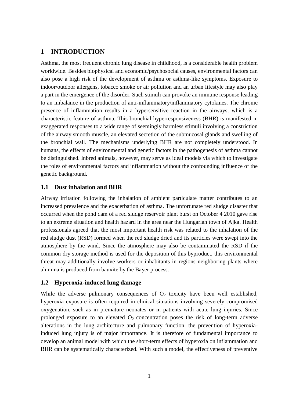# **1 INTRODUCTION**

Asthma, the most frequent chronic lung disease in childhood, is a considerable health problem worldwide. Besides biophysical and economic/psychosocial causes, environmental factors can also pose a high risk of the development of asthma or asthma-like symptoms. Exposure to indoor/outdoor allergens, tobacco smoke or air pollution and an urban lifestyle may also play a part in the emergence of the disorder. Such stimuli can provoke an immune response leading to an imbalance in the production of anti-inflammatory/inflammatory cytokines. The chronic presence of inflammation results in a hypersensitive reaction in the airways, which is a characteristic feature of asthma. This bronchial hyperresponsiveness (BHR) is manifested in exaggerated responses to a wide range of seemingly harmless stimuli involving a constriction of the airway smooth muscle, an elevated secretion of the submucosal glands and swelling of the bronchial wall. The mechanisms underlying BHR are not completely understood. In humans, the effects of environmental and genetic factors in the pathogenesis of asthma cannot be distinguished. Inbred animals, however, may serve as ideal models via which to investigate the roles of environmental factors and inflammation without the confounding influence of the genetic background.

# **1.1 Dust inhalation and BHR**

Airway irritation following the inhalation of ambient particulate matter contributes to an increased prevalence and the exacerbation of asthma. The unfortunate red sludge disaster that occurred when the pond dam of a red sludge reservoir plant burst on October 4 2010 gave rise to an extreme situation and health hazard in the area near the Hungarian town of Ajka. Health professionals agreed that the most important health risk was related to the inhalation of the red sludge dust (RSD) formed when the red sludge dried and its particles were swept into the atmosphere by the wind. Since the atmosphere may also be contaminated the RSD if the common dry storage method is used for the deposition of this byproduct, this environmental threat may additionally involve workers or inhabitants in regions neighboring plants where alumina is produced from bauxite by the Bayer process.

# **1.2 Hyperoxia-induced lung damage**

While the adverse pulmonary consequences of  $O<sub>2</sub>$  toxicity have been well established, hyperoxia exposure is often required in clinical situations involving severely compromised oxygenation, such as in premature neonates or in patients with acute lung injuries. Since prolonged exposure to an elevated  $O_2$  concentration poses the risk of long-term adverse alterations in the lung architecture and pulmonary function, the prevention of hyperoxiainduced lung injury is of major importance. It is therefore of fundamental importance to develop an animal model with which the short-term effects of hyperoxia on inflammation and BHR can be systematically characterized. With such a model, the effectiveness of preventive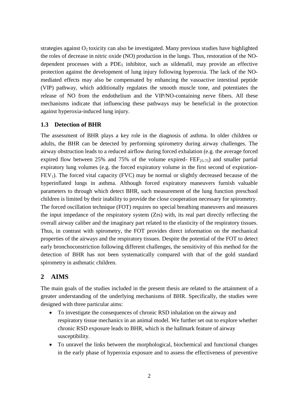strategies against  $O_2$  toxicity can also be investigated. Many previous studies have highlighted the roles of decrease in nitric oxide (NO) production in the lungs. Thus, restoration of the NOdependent processes with a PDE<sub>5</sub> inhibitor, such as sildenafil, may provide an effective protection against the development of lung injury following hyperoxia. The lack of the NOmediated effects may also be compensated by enhancing the vasoactive intestinal peptide (VIP) pathway, which additionally regulates the smooth muscle tone, and potentiates the release of NO from the endothelium and the VIP/NO-containing nerve fibers. All these mechanisms indicate that influencing these pathways may be beneficial in the protection against hyperoxia-induced lung injury.

## **1.3 Detection of BHR**

The assessment of BHR plays a key role in the diagnosis of asthma. In older children or adults, the BHR can be detected by performing spirometry during airway challenges. The airway obstruction leads to a reduced airflow during forced exhalation (e.g. the average forced expired flow between 25% and 75% of the volume expired-  $\text{FEF}_{25-75}$ ) and smaller partial expiratory lung volumes (e.g. the forced expiratory volume in the first second of expiration- $FEV<sub>1</sub>$ ). The forced vital capacity (FVC) may be normal or slightly decreased because of the hyperinflated lungs in asthma. Although forced expiratory maneuvers furnish valuable parameters to through which detect BHR, such measurement of the lung function preschool children is limited by their inability to provide the close cooperation necessary for spirometry. The forced oscillation technique (FOT) requires no special breathing maneuvers and measures the input impedance of the respiratory system (Zrs) with, its real part directly reflecting the overall airway caliber and the imaginary part related to the elasticity of the respiratory tissues. Thus, in contrast with spirometry, the FOT provides direct information on the mechanical properties of the airways and the respiratory tissues. Despite the potential of the FOT to detect early bronchoconstriction following different challenges, the sensitivity of this method for the detection of BHR has not been systematically compared with that of the gold standard spirometry in asthmatic children.

# **2 AIMS**

The main goals of the studies included in the present thesis are related to the attainment of a greater understanding of the underlying mechanisms of BHR. Specifically, the studies were designed with three particular aims:

- To investigate the consequences of chronic RSD inhalation on the airway and respiratory tissue mechanics in an animal model. We further set out to explore whether chronic RSD exposure leads to BHR, which is the hallmark feature of airway susceptibility.
- To unravel the links between the morphological, biochemical and functional changes in the early phase of hyperoxia exposure and to assess the effectiveness of preventive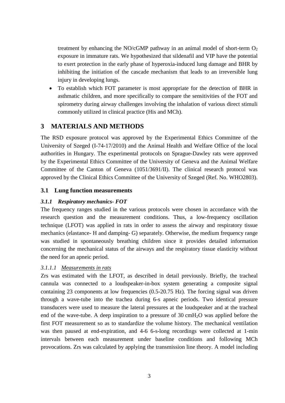treatment by enhancing the NO/cGMP pathway in an animal model of short-term  $O_2$ exposure in immature rats. We hypothesized that sildenafil and VIP have the potential to exert protection in the early phase of hyperoxia-induced lung damage and BHR by inhibiting the initiation of the cascade mechanism that leads to an irreversible lung injury in developing lungs.

 To establish which FOT parameter is most appropriate for the detection of BHR in asthmatic children, and more specifically to compare the sensitivities of the FOT and spirometry during airway challenges involving the inhalation of various direct stimuli commonly utilized in clinical practice (His and MCh).

# **3 MATERIALS AND METHODS**

The RSD exposure protocol was approved by the Experimental Ethics Committee of the University of Szeged (I-74-17/2010) and the Animal Health and Welfare Office of the local authorities in Hungary. The experimental protocols on Sprague-Dawley rats were approved by the Experimental Ethics Committee of the University of Geneva and the Animal Welfare Committee of the Canton of Geneva (1051/3691/II). The clinical research protocol was approved by the Clinical Ethics Committee of the University of Szeged (Ref. No. WHO2803).

# **3.1 Lung function measurements**

# *3.1.1 Respiratory mechanics- FOT*

The frequency ranges studied in the various protocols were chosen in accordance with the research question and the measurement conditions. Thus, a low-frequency oscillation technique (LFOT) was applied in rats in order to assess the airway and respiratory tissue mechanics (elastance- H and damping- G) separately. Otherwise, the medium frequency range was studied in spontaneously breathing children since it provides detailed information concerning the mechanical status of the airways and the respiratory tissue elasticity without the need for an apneic period.

# *3.1.1.1 Measurements in rats*

Zrs was estimated with the LFOT, as described in detail previously. Briefly, the tracheal cannula was connected to a loudspeaker-in-box system generating a composite signal containing 23 components at low frequencies (0.5-20.75 Hz). The forcing signal was driven through a wave-tube into the trachea during 6-s apneic periods. Two identical pressure transducers were used to measure the lateral pressures at the loudspeaker and at the tracheal end of the wave-tube. A deep inspiration to a pressure of 30 cmH2O was applied before the first FOT measurement so as to standardize the volume history. The mechanical ventilation was then paused at end-expiration, and 4-6 6-s-long recordings were collected at 1-min intervals between each measurement under baseline conditions and following MCh provocations. Zrs was calculated by applying the transmission line theory. A model including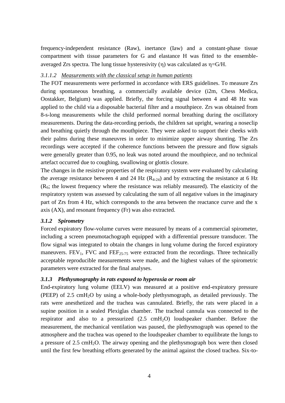frequency-independent resistance (Raw), inertance (Iaw) and a constant-phase tissue compartment with tissue parameters for G and elastance H was fitted to the ensembleaveraged Zrs spectra. The lung tissue hysteresivity  $(\eta)$  was calculated as  $\eta = G/H$ .

#### *3.1.1.2 Measurements with the classical setup in human patients*

The FOT measurements were performed in accordance with ERS guidelines. To measure Zrs during spontaneous breathing, a commercially available device (i2m, Chess Medica, Oostakker, Belgium) was applied. Briefly, the forcing signal between 4 and 48 Hz was applied to the child via a disposable bacterial filter and a mouthpiece. Zrs was obtained from 8-s-long measurements while the child performed normal breathing during the oscillatory measurements. During the data-recording periods, the children sat upright, wearing a noseclip and breathing quietly through the mouthpiece. They were asked to support their cheeks with their palms during these maneuvres in order to minimize upper airway shunting. The Zrs recordings were accepted if the coherence functions between the pressure and flow signals were generally greater than 0.95, no leak was noted around the mouthpiece, and no technical artefact occurred due to coughing, swallowing or glottis closure.

The changes in the resistive properties of the respiratory system were evaluated by calculating the average resistance between 4 and 24 Hz  $(R_{4-24})$  and by extracting the resistance at 6 Hz  $(R<sub>6</sub>;$  the lowest frequency where the resistance was reliably measured). The elasticity of the respiratory system was assessed by calculating the sum of all negative values in the imaginary part of Zrs from 4 Hz, which corresponds to the area between the reactance curve and the x axis (AX), and resonant frequency (Fr) was also extracted.

## *3.1.2 Spirometry*

Forced expiratory flow-volume curves were measured by means of a commercial spirometer, including a screen pneumotachograph equipped with a differential pressure transducer. The flow signal was integrated to obtain the changes in lung volume during the forced expiratory maneuvers. FEV<sub>1</sub>, FVC and FEF<sub>25-75</sub> were extracted from the recordings. Three technically acceptable reproducible measurements were made, and the highest values of the spirometric parameters were extracted for the final analyses.

## *3.1.3 Plethysmography in rats exposed to hyperoxia or room air*

End-expiratory lung volume (EELV) was measured at a positive end-expiratory pressure (PEEP) of 2.5 cmH<sub>2</sub>O by using a whole-body plethysmograph, as detailed previously. The rats were anesthetized and the trachea was cannulated. Briefly, the rats were placed in a supine position in a sealed Plexiglas chamber. The tracheal cannula was connected to the respirator and also to a pressurized  $(2.5 \text{ cm}H_2O)$  loudspeaker chamber. Before the measurement, the mechanical ventilation was paused, the plethysmograph was opened to the atmosphere and the trachea was opened to the loudspeaker chamber to equilibrate the lungs to a pressure of  $2.5 \text{ cm}H_2O$ . The airway opening and the plethysmograph box were then closed until the first few breathing efforts generated by the animal against the closed trachea. Six-to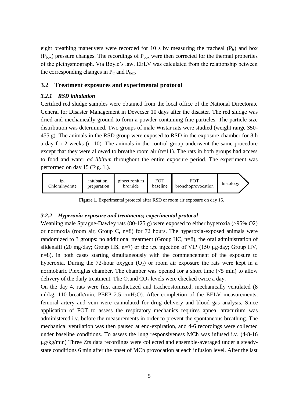eight breathing maneuvers were recorded for 10 s by measuring the tracheal  $(P_{tr})$  and box  $(P_{box})$  pressure changes. The recordings of  $P_{box}$  were then corrected for the thermal properties of the plethysmograph. Via Boyle's law, EELV was calculated from the relationship between the corresponding changes in  $P_{tr}$  and  $P_{box}$ .

#### **3.2 Treatment exposures and experimental protocol**

## *3.2.1 RSD inhalation*

Certified red sludge samples were obtained from the local office of the National Directorate General for Disaster Management in Devecser 10 days after the disaster. The red sludge was dried and mechanically ground to form a powder containing fine particles. The particle size distribution was determined. Two groups of male Wistar rats were studied (weight range 350- 455 g). The animals in the RSD group were exposed to RSD in the exposure chamber for 8 h a day for 2 weeks (n=10). The animals in the control group underwent the same procedure except that they were allowed to breathe room air  $(n=11)$ . The rats in both groups had access to food and water *ad libitum* throughout the entire exposure period. The experiment was performed on day 15 (Fig. 1.).



**Figure 1.** Experimental protocol after RSD or room air exposure on day 15.

#### *3.2.2 Hyperoxia-exposure and treatments; experimental protocol*

Weanling male Sprague-Dawley rats (80-125 g) were exposed to either hyperoxia (>95% O2) or normoxia (room air, Group C, n=8) for 72 hours. The hyperoxia-exposed animals were randomized to 3 groups: no additional treatment (Group HC, n=8), the oral administration of sildenafil (20 mg/day; Group HS, n=7) or the i.p. injection of VIP (150 µg/day; Group HV, n=8), in both cases starting simultaneously with the commencement of the exposure to hyperoxia. During the 72-hour oxygen  $(O_2)$  or room air exposure the rats were kept in a normobaric Plexiglas chamber. The chamber was opened for a short time (<5 min) to allow delivery of the daily treatment. The  $O_2$  and  $CO_2$  levels were checked twice a day.

On the day 4, rats were first anesthetized and tracheostomized, mechanically ventilated (8 ml/kg, 110 breath/min, PEEP 2.5 cmH<sub>2</sub>O). After completion of the EELV measurements, femoral artery and vein were cannulated for drug delivery and blood gas analysis. Since application of FOT to assess the respiratory mechanics requires apnea, atracurium was administered i.v. before the measurements in order to prevent the spontaneous breathing. The mechanical ventilation was then paused at end-expiration, and 4-6 recordings were collected under baseline conditions. To assess the lung responsiveness MCh was infused i.v. (4-8-16 µg/kg/min) Three Zrs data recordings were collected and ensemble-averaged under a steadystate conditions 6 min after the onset of MCh provocation at each infusion level. After the last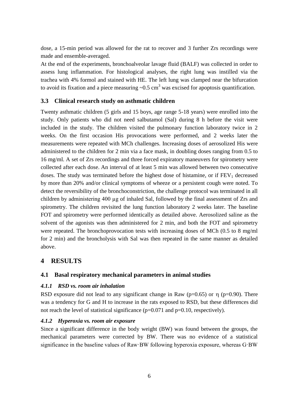dose, a 15-min period was allowed for the rat to recover and 3 further Zrs recordings were made and ensemble-averaged.

At the end of the experiments, bronchoalveolar lavage fluid (BALF) was collected in order to assess lung inflammation. For histological analyses, the right lung was instilled via the trachea with 4% formol and stained with HE. The left lung was clamped near the bifurcation to avoid its fixation and a piece measuring  $\sim 0.5$  cm<sup>3</sup> was excised for apoptosis quantification.

## **3.3 Clinical research study on asthmatic children**

Twenty asthmatic children (5 girls and 15 boys, age range 5-18 years) were enrolled into the study. Only patients who did not need salbutamol (Sal) during 8 h before the visit were included in the study. The children visited the pulmonary function laboratory twice in 2 weeks. On the first occasion His provocations were performed, and 2 weeks later the measurements were repeated with MCh challenges. Increasing doses of aerosolized His were administered to the children for 2 min via a face mask, in doubling doses ranging from 0.5 to 16 mg/ml. A set of Zrs recordings and three forced expiratory maneuvers for spirometry were collected after each dose. An interval of at least 5 min was allowed between two consecutive doses. The study was terminated before the highest dose of histamine, or if  $FEV<sub>1</sub>$  decreased by more than 20% and/or clinical symptoms of wheeze or a persistent cough were noted. To detect the reversibility of the bronchoconstriction, the challenge protocol was terminated in all children by administering 400 µg of inhaled Sal, followed by the final assessment of Zrs and spirometry. The children revisited the lung function laboratory 2 weeks later. The baseline FOT and spirometry were performed identically as detailed above. Aerosolized saline as the solvent of the agonists was then administered for 2 min, and both the FOT and spirometry were repeated. The bronchoprovocation tests with increasing doses of MCh (0.5 to 8 mg/ml for 2 min) and the broncholysis with Sal was then repeated in the same manner as detailed above.

# **4 RESULTS**

## **4.1 Basal respiratory mechanical parameters in animal studies**

#### *4.1.1 RSD vs. room air inhalation*

RSD exposure did not lead to any significant change in Raw ( $p=0.65$ ) or  $\eta$  ( $p=0.90$ ). There was a tendency for G and H to increase in the rats exposed to RSD, but these differences did not reach the level of statistical significance  $(p=0.071$  and  $p=0.10$ , respectively).

#### *4.1.2 Hyperoxia vs. room air exposure*

Since a significant difference in the body weight (BW) was found between the groups, the mechanical parameters were corrected by BW. There was no evidence of a statistical significance in the baseline values of Raw·BW following hyperoxia exposure, whereas G·BW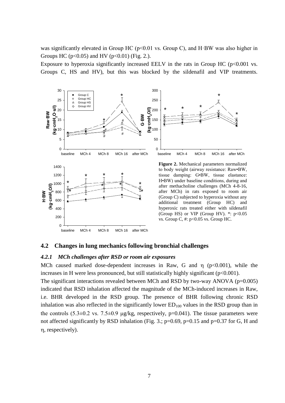was significantly elevated in Group HC ( $p<0.01$  vs. Group C), and H·BW was also higher in Groups HC ( $p<0.05$ ) and HV ( $p<0.01$ ) (Fig. 2.).

Exposure to hyperoxia significantly increased EELV in the rats in Group HC ( $p<0.001$  vs. Groups C, HS and HV), but this was blocked by the sildenafil and VIP treatments.



#### **4.2 Changes in lung mechanics following bronchial challenges**

### *4.2.1 MCh challenges after RSD or room air exposures*

MCh caused marked dose-dependent increases in Raw, G and  $\eta$  ( $p<0.001$ ), while the increases in H were less pronounced, but still statistically highly significant (p<0.001).

The significant interactions revealed between MCh and RSD by two-way ANOVA (p=0.005) indicated that RSD inhalation affected the magnitude of the MCh-induced increases in Raw, i.e. BHR developed in the RSD group. The presence of BHR following chronic RSD inhalation was also reflected in the significantly lower  $ED_{100}$  values in the RSD group than in the controls  $(5.3\pm0.2 \text{ vs. } 7.5\pm0.9 \text{ µg/kg},$  respectively,  $p=0.041$ ). The tissue parameters were not affected significantly by RSD inhalation (Fig. 3.;  $p=0.69$ ,  $p=0.15$  and  $p=0.37$  for G, H and , respectively).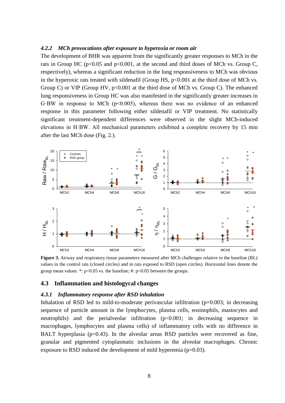#### *4.2.2 MCh provocations after exposure to hyperoxia or room air*

The development of BHR was apparent from the significantly greater responses to MCh in the rats in Group HC ( $p<0.05$  and  $p<0.001$ , at the second and third doses of MCh vs. Group C, respectively), whereas a significant reduction in the lung responsiveness to MCh was obvious in the hyperoxic rats treated with sildenafil (Group HS,  $p<0.001$  at the third dose of MCh vs. Group C) or VIP (Group HV,  $p<0.001$  at the third dose of MCh vs. Group C). The enhanced lung responsiveness in Group HC was also manifested in the significantly greater increases in G·BW in response to MCh  $(p<0.005)$ , whereas there was no evidence of an enhanced response in this parameter following either sildenafil or VIP treatment. No statistically significant treatment-dependent differences were observed in the slight MCh-induced elevations in H·BW. All mechanical parameters exhibited a complete recovery by 15 min after the last MCh dose (Fig. 2.).



**Figure 3.** [Airway and respiratory tissue parameters measured after MCh challenges relative to the baseline \(BL\)](file:///C:/Users/Felhasználó/Thesis.docx%23_Toc354861409)  [values in the control rats \(closed circles\) and in rats exposed to RSD \(open circles\). Horizontal lines denote the](file:///C:/Users/Felhasználó/Thesis.docx%23_Toc354861409)  group mean values. \*:  $p<0.05$  vs. the baseline; #:  $p<0.05$  between the groups.

#### **4.3 Inflammation and histologycal changes**

#### *4.3.1 Inflammatory response after RSD inhalation*

Inhalation of RSD led to mild-to-moderate perivascular infiltration  $(p=0.003)$ ; in decreasing sequence of particle amount in the lymphocytes, plasma cells, eosinophils, mastocytes and neutrophils) and the perialveolar infiltration (p<0.001; in decreasing sequence in macrophages, lymphocytes and plasma cells) of inflammatory cells with no difference in BALT hyperplasia  $(p=0.43)$ . In the alveolar areas RSD particles were recovered as fine, granular and pigmented cytoplasmatic inclusions in the alveolar macrophages. Chronic exposure to RSD induced the development of mild hyperemia ( $p=0.03$ ).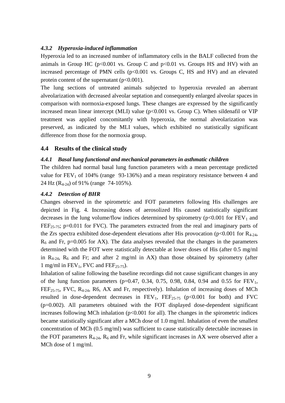## *4.3.2 Hyperoxia-induced inflammation*

Hyperoxia led to an increased number of inflammatory cells in the BALF collected from the animals in Group HC ( $p<0.001$  vs. Group C and  $p<0.01$  vs. Groups HS and HV) with an increased percentage of PMN cells  $(p<0.001$  vs. Groups C, HS and HV) and an elevated protein content of the supernatant  $(p<0.001)$ .

The lung sections of untreated animals subjected to hyperoxia revealed an aberrant alveolarization with decreased alveolar septation and consequently enlarged alveolar spaces in comparison with normoxia-exposed lungs. These changes are expressed by the significantly increased mean linear intercept (MLI) value  $(p<0.001$  vs. Group C). When sildenafil or VIP treatment was applied concomitantly with hyperoxia, the normal alveolarization was preserved, as indicated by the MLI values, which exhibited no statistically significant difference from those for the normoxia group.

## **4.4 Results of the clinical study**

## *4.4.1 Basal lung functional and mechanical parameters in asthmatic children*

The children had normal basal lung function parameters with a mean percentage predicted value for  $FEV<sub>1</sub>$  of 104% (range 93-136%) and a mean respiratory resistance between 4 and 24 Hz (R4-24) of 91% (range 74-105%).

## *4.4.2 Detection of BHR*

Changes observed in the spirometric and FOT parameters following His challenges are depicted in Fig. 4. Increasing doses of aerosolized His caused statistically significant decreases in the lung volume/flow indices determined by spirometry ( $p<0.001$  for  $FEV<sub>1</sub>$  and FEF<sub>25-75</sub>; p=0.011 for FVC). The parameters extracted from the real and imaginary parts of the Zrs spectra exhibited dose-dependent elevations after His provocation ( $p<0.001$  for  $R_{4-24}$ ,  $R_6$  and Fr, p=0.005 for AX). The data analyses revealed that the changes in the parameters determined with the FOT were statistically detectable at lower doses of His (after 0.5 mg/ml in  $R_{4-24}$ ,  $R_6$  and Fr; and after 2 mg/ml in AX) than those obtained by spirometry (after 1 mg/ml in  $FEV_1$ , FVC and  $FEF_{25-75}$ ).

Inhalation of saline following the baseline recordings did not cause significant changes in any of the lung function parameters (p=0.47, 0.34, 0.75, 0.98, 0.84, 0.94 and 0.55 for  $FEV_1$ , FEF<sub>25-75</sub>, FVC, R<sub>4-24</sub>, R6, AX and Fr, respectively). Inhalation of increasing doses of MCh resulted in dose-dependent decreases in  $FEV_1$ ,  $FEF_{25-75}$  (p<0.001 for both) and FVC (p=0.002). All parameters obtained with the FOT displayed dose-dependent significant increases following MCh inhalation ( $p<0.001$  for all). The changes in the spirometric indices became statistically significant after a MCh dose of 1.0 mg/ml. Inhalation of even the smallest concentration of MCh (0.5 mg/ml) was sufficient to cause statistically detectable increases in the FOT parameters  $R_{4-24}$ ,  $R_6$  and Fr, while significant increases in AX were observed after a MCh dose of 1 mg/ml.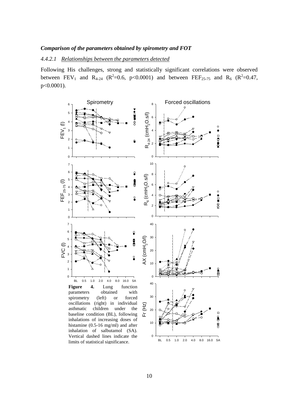#### *Comparison of the parameters obtained by spirometry and FOT*

#### *4.4.2.1 Relationships between the parameters detected*

Following His challenges, strong and statistically significant correlations were observed between FEV<sub>1</sub> and R<sub>4-24</sub> (R<sup>2</sup>=0.6, p<0.0001) and between FEF<sub>25-75</sub> and R<sub>6</sub> (R<sup>2</sup>=0.47, p<0.0001).

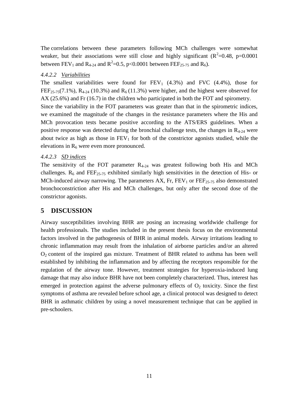The correlations between these parameters following MCh challenges were somewhat weaker, but their associations were still close and highly significant  $(R^2=0.48, p=0.0001$ between FEV<sub>1</sub> and R<sub>4-24</sub> and R<sup>2</sup>=0.5, p<0.0001 between FEF<sub>25-75</sub> and R<sub>6</sub>).

## *4.4.2.2 Variabilities*

The smallest variabilities were found for  $FEV_1$  (4.3%) and  $FVC$  (4.4%), those for FEF<sub>25-75</sub>(7.1%), R<sub>4-24</sub> (10.3%) and R<sub>6</sub> (11.3%) were higher, and the highest were observed for AX (25.6%) and Fr (16.7) in the children who participated in both the FOT and spirometry. Since the variability in the FOT parameters was greater than that in the spirometric indices, we examined the magnitude of the changes in the resistance parameters where the His and MCh provocation tests became positive according to the ATS/ERS guidelines. When a

positive response was detected during the bronchial challenge tests, the changes in  $R_{4-24}$  were about twice as high as those in  $FEV<sub>1</sub>$  for both of the constrictor agonists studied, while the elevations in  $R<sub>6</sub>$  were even more pronounced.

#### *4.4.2.3 SD indices*

The sensitivity of the FOT parameter  $R_{4-24}$  was greatest following both His and MCh challenges.  $R_6$  and FEF<sub>25-75</sub> exhibited similarly high sensitivities in the detection of His- or MCh-induced airway narrowing. The parameters  $AX$ , Fr,  $FEV<sub>1</sub>$  or  $FEF<sub>25-75</sub>$  also demonstrated bronchoconstriction after His and MCh challenges, but only after the second dose of the constrictor agonists.

## **5 DISCUSSION**

Airway susceptibilities involving BHR are posing an increasing worldwide challenge for health professionals. The studies included in the present thesis focus on the environmental factors involved in the pathogenesis of BHR in animal models. Airway irritations leading to chronic inflammation may result from the inhalation of airborne particles and/or an altered  $O<sub>2</sub>$  content of the inspired gas mixture. Treatment of BHR related to asthma has been well established by inhibiting the inflammation and by affecting the receptors responsible for the regulation of the airway tone. However, treatment strategies for hyperoxia-induced lung damage that may also induce BHR have not been completely characterized. Thus, interest has emerged in protection against the adverse pulmonary effects of  $O<sub>2</sub>$  toxicity. Since the first symptoms of asthma are revealed before school age, a clinical protocol was designed to detect BHR in asthmatic children by using a novel measurement technique that can be applied in pre-schoolers.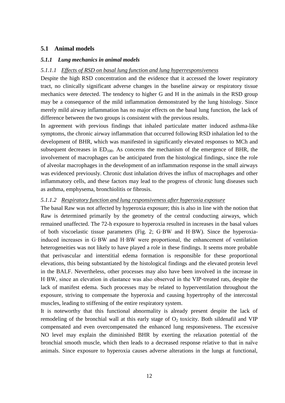# **5.1 Animal models**

#### *5.1.1 Lung mechanics in animal models*

#### *5.1.1.1 Effects of RSD on basal lung function and lung hyperresponsiveness*

Despite the high RSD concentration and the evidence that it accessed the lower respiratory tract, no clinically significant adverse changes in the baseline airway or respiratory tissue mechanics were detected. The tendency to higher G and H in the animals in the RSD group may be a consequence of the mild inflammation demonstrated by the lung histology. Since merely mild airway inflammation has no major effects on the basal lung function, the lack of difference between the two groups is consistent with the previous results.

In agreement with previous findings that inhaled particulate matter induced asthma-like symptoms, the chronic airway inflammation that occurred following RSD inhalation led to the development of BHR, which was manifested in significantly elevated responses to MCh and subsequent decreases in  $ED_{100}$ . As concerns the mechanism of the emergence of BHR, the involvement of macrophages can be anticipated from the histological findings, since the role of alveolar macrophages in the development of an inflammation response in the small airways was evidenced previously. Chronic dust inhalation drives the influx of macrophages and other inflammatory cells, and these factors may lead to the progress of chronic lung diseases such as asthma, emphysema, bronchiolitis or fibrosis.

#### *5.1.1.2 Respiratory function and lung responsiveness after hyperoxia exposure*

The basal Raw was not affected by hyperoxia exposure; this is also in line with the notion that Raw is determined primarily by the geometry of the central conducting airways, which remained unaffected. The 72-h exposure to hyperoxia resulted in increases in the basal values of both viscoelastic tissue parameters (Fig. 2; G·BW and H·BW). Since the hyperoxiainduced increases in G·BW and H·BW were proportional, the enhancement of ventilation heterogeneities was not likely to have played a role in these findings. It seems more probable that perivascular and interstitial edema formation is responsible for these proportional elevations, this being substantiated by the histological findings and the elevated protein level in the BALF. Nevertheless, other processes may also have been involved in the increase in H·BW, since an elevation in elastance was also observed in the VIP-treated rats, despite the lack of manifest edema. Such processes may be related to hyperventilation throughout the exposure, striving to compensate the hyperoxia and causing hypertrophy of the intercostal muscles, leading to stiffening of the entire respiratory system.

It is noteworthy that this functional abnormality is already present despite the lack of remodeling of the bronchial wall at this early stage of  $O<sub>2</sub>$  toxicity. Both sildenafil and VIP compensated and even overcompensated the enhanced lung responsiveness. The excessive NO level may explain the diminished BHR by exerting the relaxation potential of the bronchial smooth muscle, which then leads to a decreased response relative to that in naïve animals. Since exposure to hyperoxia causes adverse alterations in the lungs at functional,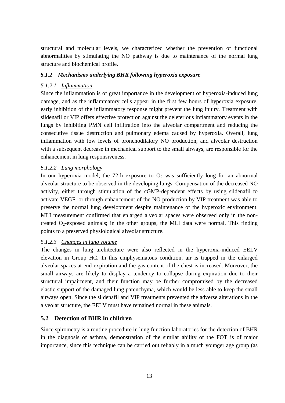structural and molecular levels, we characterized whether the prevention of functional abnormalities by stimulating the NO pathway is due to maintenance of the normal lung structure and biochemical profile.

# *5.1.2 Mechanisms underlying BHR following hyperoxia exposure*

# *5.1.2.1 Inflammation*

Since the inflammation is of great importance in the development of hyperoxia-induced lung damage, and as the inflammatory cells appear in the first few hours of hyperoxia exposure, early inhibition of the inflammatory response might prevent the lung injury. Treatment with sildenafil or VIP offers effective protection against the deleterious inflammatory events in the lungs by inhibiting PMN cell infiltration into the alveolar compartment and reducing the consecutive tissue destruction and pulmonary edema caused by hyperoxia. Overall, lung inflammation with low levels of bronchodilatory NO production, and alveolar destruction with a subsequent decrease in mechanical support to the small airways, are responsible for the enhancement in lung responsiveness.

# *5.1.2.2 Lung morphology*

In our hyperoxia model, the 72-h exposure to  $O_2$  was sufficiently long for an abnormal alveolar structure to be observed in the developing lungs. Compensation of the decreased NO activity, either through stimulation of the cGMP-dependent effects by using sildenafil to activate VEGF, or through enhancement of the NO production by VIP treatment was able to preserve the normal lung development despite maintenance of the hyperoxic environment. MLI measurement confirmed that enlarged alveolar spaces were observed only in the nontreated  $O_2$ -exposed animals; in the other groups, the MLI data were normal. This finding points to a preserved physiological alveolar structure.

# *5.1.2.3 Changes in lung volume*

The changes in lung architecture were also reflected in the hyperoxia-induced EELV elevation in Group HC. In this emphysematous condition, air is trapped in the enlarged alveolar spaces at end-expiration and the gas content of the chest is increased. Moreover, the small airways are likely to display a tendency to collapse during expiration due to their structural impairment, and their function may be further compromised by the decreased elastic support of the damaged lung parenchyma, which would be less able to keep the small airways open. Since the sildenafil and VIP treatments prevented the adverse alterations in the alveolar structure, the EELV must have remained normal in these animals.

# **5.2 Detection of BHR in children**

Since spirometry is a routine procedure in lung function laboratories for the detection of BHR in the diagnosis of asthma, demonstration of the similar ability of the FOT is of major importance, since this technique can be carried out reliably in a much younger age group (as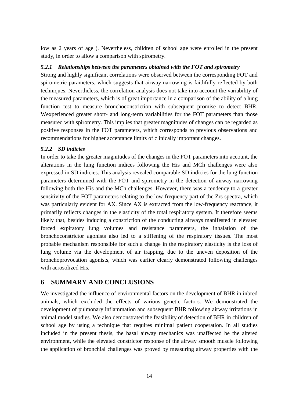low as 2 years of age ). Nevertheless, children of school age were enrolled in the present study, in order to allow a comparison with spirometry.

# *5.2.1 Relationships between the parameters obtained with the FOT and spirometry*

Strong and highly significant correlations were observed between the corresponding FOT and spirometric parameters, which suggests that airway narrowing is faithfully reflected by both techniques. Nevertheless, the correlation analysis does not take into account the variability of the measured parameters, which is of great importance in a comparison of the ability of a lung function test to measure bronchoconstriction with subsequent promise to detect BHR. Wexperienced greater short- and long-term variabilities for the FOT parameters than those measured with spirometry. This implies that greater magnitudes of changes can be regarded as positive responses in the FOT parameters, which corresponds to previous observations and recommendations for higher acceptance limits of clinically important changes.

# *5.2.2 SD indicies*

In order to take the greater magnitudes of the changes in the FOT parameters into account, the alterations in the lung function indices following the His and MCh challenges were also expressed in SD indicies. This analysis revealed comparable SD indicies for the lung function parameters determined with the FOT and spirometry in the detection of airway narrowing following both the His and the MCh challenges. However, there was a tendency to a greater sensitivity of the FOT parameters relating to the low-frequency part of the Zrs spectra, which was particularly evident for AX. Since AX is extracted from the low-frequency reactance, it primarily reflects changes in the elasticity of the total respiratory system. It therefore seems likely that, besides inducing a constriction of the conducting airways manifested in elevated forced expiratory lung volumes and resistance parameters, the inhalation of the bronchoconstrictor agonists also led to a stiffening of the respiratory tissues. The most probable mechanism responsible for such a change in the respiratory elasticity is the loss of lung volume via the development of air trapping, due to the uneven deposition of the bronchoprovocation agonists, which was earlier clearly demonstrated following challenges with aerosolized His.

# **6 SUMMARY AND CONCLUSIONS**

We investigated the influence of environmental factors on the development of BHR in inbred animals, which excluded the effects of various genetic factors. We demonstrated the development of pulmonary inflammation and subsequent BHR following airway irritations in animal model studies. We also demonstrated the feasibility of detection of BHR in children of school age by using a technique that requires minimal patient cooperation. In all studies included in the present thesis, the basal airway mechanics was unaffected be the altered environment, while the elevated constrictor response of the airway smooth muscle following the application of bronchial challenges was proved by measuring airway properties with the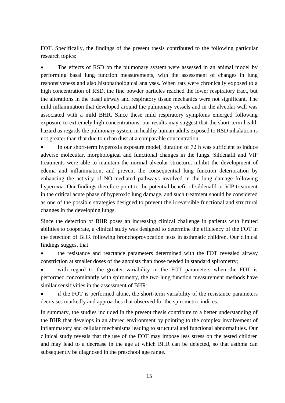FOT. Specifically, the findings of the present thesis contributed to the following particular research topics:

 The effects of RSD on the pulmonary system were assessed in an animal model by performing basal lung function measurements, with the assessment of changes in lung responsiveness and also histopathological analyses. When rats were chronically exposed to a high concentration of RSD, the fine powder particles reached the lower respiratory tract, but the alterations in the basal airway and respiratory tissue mechanics were not significant. The mild inflammation that developed around the pulmonary vessels and in the alveolar wall was associated with a mild BHR. Since these mild respiratory symptoms emerged following exposure to extremely high concentrations, our results may suggest that the short-term health hazard as regards the pulmonary system in healthy human adults exposed to RSD inhalation is not greater than that due to urban dust at a comparable concentration.

 In our short-term hyperoxia exposure model, duration of 72 h was sufficient to induce adverse molecular, morphological and functional changes in the lungs. Sildenafil and VIP treatments were able to maintain the normal alveolar structure, inhibit the development of edema and inflammation, and prevent the consequential lung function deterioration by enhancing the activity of NO-mediated pathways involved in the lung damage following hyperoxia. Our findings therefore point to the potential benefit of sildenafil or VIP treatment in the critical acute phase of hyperoxic lung damage, and such treatment should be considered as one of the possible strategies designed to prevent the irreversible functional and structural changes in the developing lungs.

Since the detection of BHR poses an increasing clinical challenge in patients with limited abilities to cooperate, a clinical study was designed to determine the efficiency of the FOT in the detection of BHR following bronchoprovocation tests in asthmatic children. Our clinical findings suggest that

 the resistance and reactance parameters determined with the FOT revealed airway constriction at smaller doses of the agonists than those needed in standard spirometry;

 with regard to the greater variability in the FOT parameters when the FOT is performed concomitantly with spirometry, the two lung function measurement methods have similar sensitivities in the assessment of BHR;

 if the FOT is performed alone, the short-term variability of the resistance parameters decreases markedly and approaches that observed for the spirometric indices.

In summary, the studies included in the present thesis contribute to a better understanding of the BHR that develops in an altered environment by pointing to the complex involvement of inflammatory and cellular mechanisms leading to structural and functional abnormalities. Our clinical study reveals that the use of the FOT may impose less stress on the tested children and may lead to a decrease in the age at which BHR can be detected, so that asthma can subsequently be diagnosed in the preschool age range.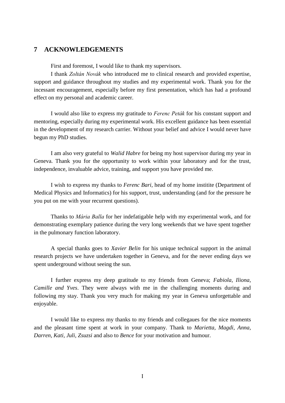# **7 ACKNOWLEDGEMENTS**

First and foremost, I would like to thank my supervisors.

I thank *Zoltán Novák* who introduced me to clinical research and provided expertise, support and guidance throughout my studies and my experimental work. Thank you for the incessant encouragement, especially before my first presentation, which has had a profound effect on my personal and academic career.

I would also like to express my gratitude to *Ferenc Peták* for his constant support and mentoring, especially during my experimental work. His excellent guidance has been essential in the development of my research carrier. Without your belief and advice I would never have begun my PhD studies.

I am also very grateful to *Walid Habre* for being my host supervisor during my year in Geneva. Thank you for the opportunity to work within your laboratory and for the trust, independence, invaluable advice, training, and support you have provided me.

I wish to express my thanks to *Ferenc Bari,* head of my home institite (Department of Medical Physics and Informatics) for his support, trust, understanding (and for the pressure he you put on me with your recurrent questions).

Thanks to *Mária Balla* for her indefatigable help with my experimental work, and for demonstrating exemplary patience during the very long weekends that we have spent together in the pulmonary function laboratory.

A special thanks goes to *Xavier Belin* for his unique technical support in the animal research projects we have undertaken together in Geneva, and for the never ending days we spent underground without seeing the sun.

I further express my deep gratitude to my friends from Geneva; *Fabiola, Iliona, Camille and Yves*. They were always with me in the challenging moments during and following my stay. Thank you very much for making my year in Geneva unforgettable and enjoyable.

I would like to express my thanks to my friends and collegaues for the nice moments and the pleasant time spent at work in your company. Thank to *Marietta, Magdi, Anna, Darren, Kati, Juli, Zsuzsi* and also to *Bence* for your motivation and humour.